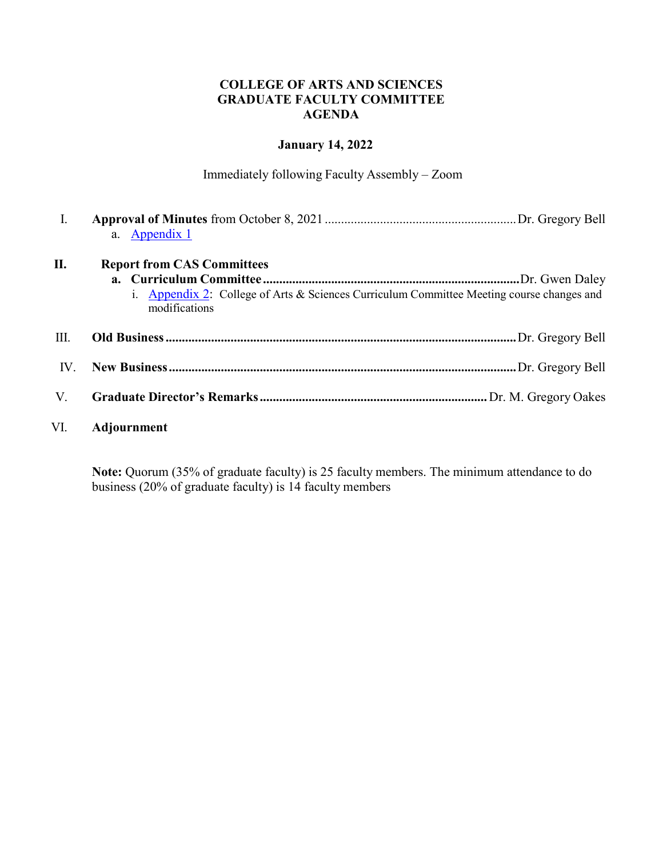#### **COLLEGE OF ARTS AND SCIENCES GRADUATE FACULTY COMMITTEE AGENDA**

## **January 14, 2022**

Immediately following Faculty Assembly – Zoom

| I.   |                                                                                                            |
|------|------------------------------------------------------------------------------------------------------------|
|      | a. Appendix 1                                                                                              |
| П.   | <b>Report from CAS Committees</b>                                                                          |
|      |                                                                                                            |
|      | i. Appendix 2: College of Arts & Sciences Curriculum Committee Meeting course changes and<br>modifications |
| III. |                                                                                                            |
| IV.  |                                                                                                            |
| V.   |                                                                                                            |
| VI.  | Adjournment                                                                                                |

**Note:** Quorum (35% of graduate faculty) is 25 faculty members. The minimum attendance to do business (20% of graduate faculty) is 14 faculty members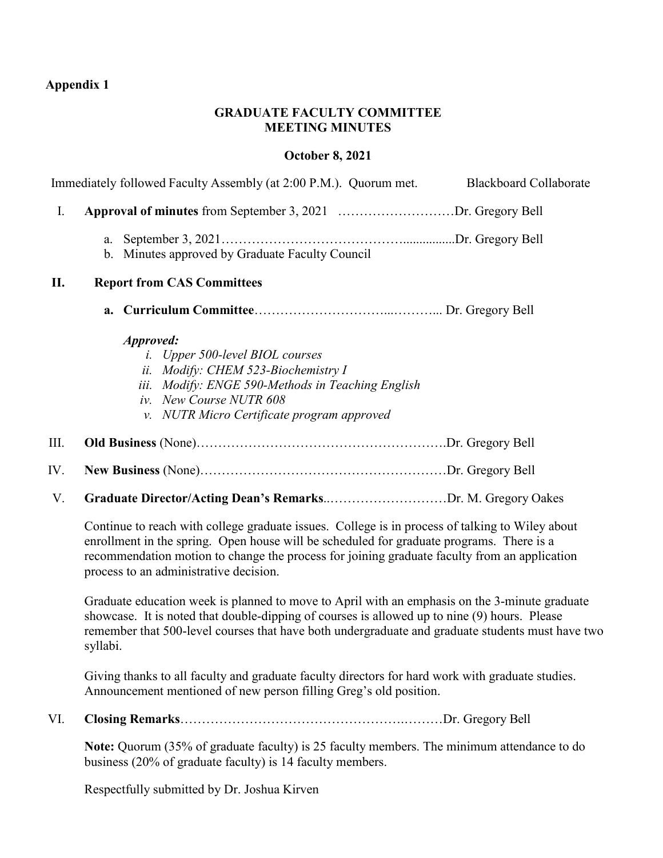# <span id="page-1-1"></span><span id="page-1-0"></span>**Appendix 1**

#### **GRADUATE FACULTY COMMITTEE MEETING MINUTES**

# **October 8, 2021**

|      | Immediately followed Faculty Assembly (at 2:00 P.M.). Quorum met.<br><b>Blackboard Collaborate</b>                                                                                                                                                                                                                                    |
|------|---------------------------------------------------------------------------------------------------------------------------------------------------------------------------------------------------------------------------------------------------------------------------------------------------------------------------------------|
| I.   | Approval of minutes from September 3, 2021 Dr. Gregory Bell                                                                                                                                                                                                                                                                           |
|      | a.<br>b. Minutes approved by Graduate Faculty Council                                                                                                                                                                                                                                                                                 |
| П.   | <b>Report from CAS Committees</b>                                                                                                                                                                                                                                                                                                     |
|      |                                                                                                                                                                                                                                                                                                                                       |
|      | Approved:<br><i>i.</i> Upper 500-level BIOL courses<br>ii. Modify: CHEM 523-Biochemistry I<br>iii. Modify: ENGE 590-Methods in Teaching English<br>iv. New Course NUTR 608<br>v. NUTR Micro Certificate program approved                                                                                                              |
| III. |                                                                                                                                                                                                                                                                                                                                       |
| IV.  |                                                                                                                                                                                                                                                                                                                                       |
| V.   | Graduate Director/Acting Dean's RemarksDr. M. Gregory Oakes                                                                                                                                                                                                                                                                           |
|      | Continue to reach with college graduate issues. College is in process of talking to Wiley about<br>enrollment in the spring. Open house will be scheduled for graduate programs. There is a<br>recommendation motion to change the process for joining graduate faculty from an application<br>process to an administrative decision. |
|      | Graduate education week is planned to move to April with an emphasis on the 3-minute graduate<br>showcase. It is noted that double-dipping of courses is allowed up to nine (9) hours. Please<br>remember that 500-level courses that have both undergraduate and graduate students must have two<br>syllabi.                         |

Giving thanks to all faculty and graduate faculty directors for hard work with graduate studies. Announcement mentioned of new person filling Greg's old position.

VI. **Closing Remarks**…………………………………………….………Dr. Gregory Bell

Note: Quorum (35% of graduate faculty) is 25 faculty members. The minimum attendance to do business (20% of graduate faculty) is 14 faculty members.

Respectfully submitted by Dr. Joshua Kirven